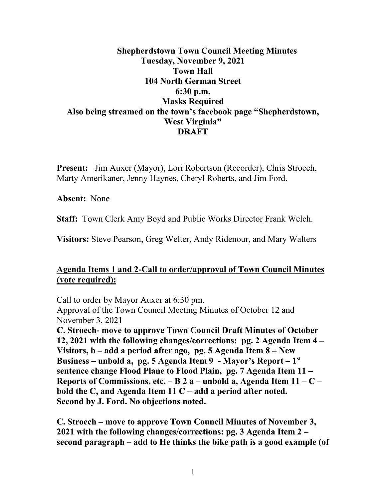# **Shepherdstown Town Council Meeting Minutes Tuesday, November 9, 2021 Town Hall 104 North German Street 6:30 p.m. Masks Required Also being streamed on the town's facebook page "Shepherdstown, West Virginia" DRAFT**

**Present:** Jim Auxer (Mayor), Lori Robertson (Recorder), Chris Stroech, Marty Amerikaner, Jenny Haynes, Cheryl Roberts, and Jim Ford.

**Absent:** None

**Staff:** Town Clerk Amy Boyd and Public Works Director Frank Welch.

**Visitors:** Steve Pearson, Greg Welter, Andy Ridenour, and Mary Walters

# **Agenda Items 1 and 2-Call to order/approval of Town Council Minutes (vote required):**

Call to order by Mayor Auxer at 6:30 pm. Approval of the Town Council Meeting Minutes of October 12 and November 3, 2021 **C. Stroech- move to approve Town Council Draft Minutes of October 12, 2021 with the following changes/corrections: pg. 2 Agenda Item 4 –**

**Visitors, b – add a period after ago, pg. 5 Agenda Item 8 – New Business – unbold a, pg. 5 Agenda Item 9 - Mayor's Report – 1st sentence change Flood Plane to Flood Plain, pg. 7 Agenda Item 11 – Reports of Commissions, etc. – B 2 a – unbold a, Agenda Item 11 – C – bold the C, and Agenda Item 11 C – add a period after noted. Second by J. Ford. No objections noted.**

**C. Stroech – move to approve Town Council Minutes of November 3, 2021 with the following changes/corrections: pg. 3 Agenda Item 2 – second paragraph – add to He thinks the bike path is a good example (of**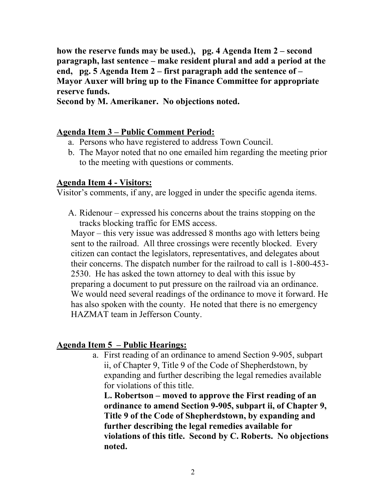**how the reserve funds may be used.), pg. 4 Agenda Item 2 – second paragraph, last sentence – make resident plural and add a period at the end, pg. 5 Agenda Item 2 – first paragraph add the sentence of – Mayor Auxer will bring up to the Finance Committee for appropriate reserve funds.**

**Second by M. Amerikaner. No objections noted.**

### **Agenda Item 3 – Public Comment Period:**

- a. Persons who have registered to address Town Council.
- b. The Mayor noted that no one emailed him regarding the meeting prior to the meeting with questions or comments.

#### **Agenda Item 4 - Visitors:**

Visitor's comments, if any, are logged in under the specific agenda items.

A. Ridenour – expressed his concerns about the trains stopping on the tracks blocking traffic for EMS access.

Mayor – this very issue was addressed 8 months ago with letters being sent to the railroad. All three crossings were recently blocked. Every citizen can contact the legislators, representatives, and delegates about their concerns. The dispatch number for the railroad to call is 1-800-453- 2530. He has asked the town attorney to deal with this issue by preparing a document to put pressure on the railroad via an ordinance. We would need several readings of the ordinance to move it forward. He has also spoken with the county. He noted that there is no emergency HAZMAT team in Jefferson County.

### **Agenda Item 5 – Public Hearings:**

a. First reading of an ordinance to amend Section 9-905, subpart ii, of Chapter 9, Title 9 of the Code of Shepherdstown, by expanding and further describing the legal remedies available for violations of this title.

**L. Robertson – moved to approve the First reading of an ordinance to amend Section 9-905, subpart ii, of Chapter 9, Title 9 of the Code of Shepherdstown, by expanding and further describing the legal remedies available for violations of this title. Second by C. Roberts. No objections noted.**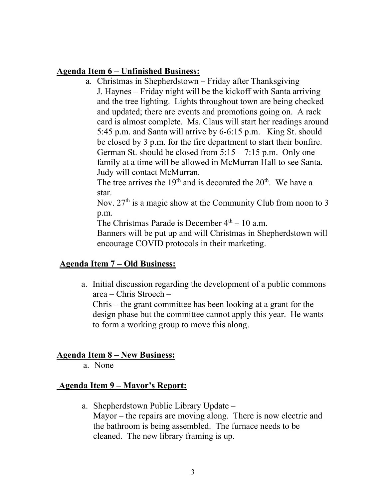### **Agenda Item 6 – Unfinished Business:**

a. Christmas in Shepherdstown – Friday after Thanksgiving J. Haynes – Friday night will be the kickoff with Santa arriving and the tree lighting. Lights throughout town are being checked and updated; there are events and promotions going on. A rack card is almost complete. Ms. Claus will start her readings around 5:45 p.m. and Santa will arrive by 6-6:15 p.m. King St. should be closed by 3 p.m. for the fire department to start their bonfire. German St. should be closed from  $5:15 - 7:15$  p.m. Only one family at a time will be allowed in McMurran Hall to see Santa. Judy will contact McMurran.

The tree arrives the  $19<sup>th</sup>$  and is decorated the  $20<sup>th</sup>$ . We have a star.

Nov.  $27<sup>th</sup>$  is a magic show at the Community Club from noon to 3 p.m.

The Christmas Parade is December  $4<sup>th</sup> - 10$  a.m.

Banners will be put up and will Christmas in Shepherdstown will encourage COVID protocols in their marketing.

### **Agenda Item 7 – Old Business:**

a. Initial discussion regarding the development of a public commons area – Chris Stroech –

Chris – the grant committee has been looking at a grant for the design phase but the committee cannot apply this year. He wants to form a working group to move this along.

# **Agenda Item 8 – New Business:**

a. None

# **Agenda Item 9 – Mayor's Report:**

a. Shepherdstown Public Library Update – Mayor – the repairs are moving along. There is now electric and the bathroom is being assembled. The furnace needs to be cleaned. The new library framing is up.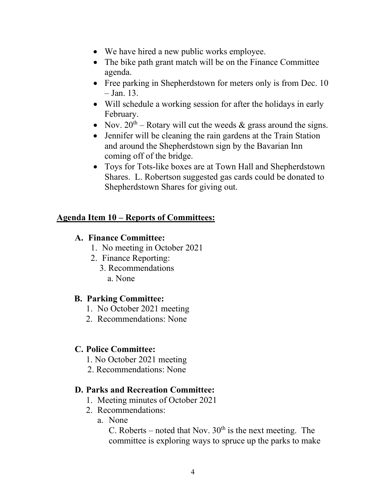- We have hired a new public works employee.
- The bike path grant match will be on the Finance Committee agenda.
- Free parking in Shepherdstown for meters only is from Dec. 10  $-$  Jan. 13.
- Will schedule a working session for after the holidays in early February.
- Nov.  $20^{th}$  Rotary will cut the weeds & grass around the signs.
- Jennifer will be cleaning the rain gardens at the Train Station and around the Shepherdstown sign by the Bavarian Inn coming off of the bridge.
- Toys for Tots-like boxes are at Town Hall and Shepherdstown Shares. L. Robertson suggested gas cards could be donated to Shepherdstown Shares for giving out.

# **Agenda Item 10 – Reports of Committees:**

## **A. Finance Committee:**

- 1. No meeting in October 2021
- 2. Finance Reporting:
	- 3. Recommendations
		- a. None

# **B. Parking Committee:**

- 1. No October 2021 meeting
- 2. Recommendations: None

# **C. Police Committee:**

- 1. No October 2021 meeting
- 2. Recommendations: None

# **D. Parks and Recreation Committee:**

- 1. Meeting minutes of October 2021
- 2. Recommendations:
	- a. None

C. Roberts – noted that Nov.  $30<sup>th</sup>$  is the next meeting. The committee is exploring ways to spruce up the parks to make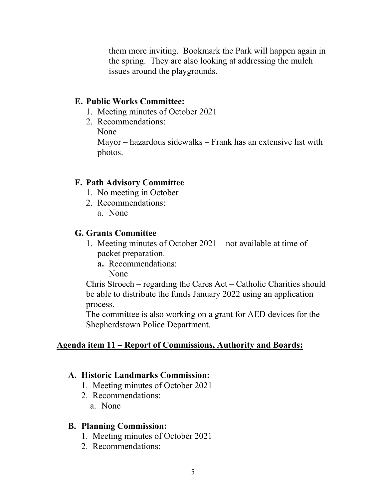them more inviting. Bookmark the Park will happen again in the spring. They are also looking at addressing the mulch issues around the playgrounds.

#### **E. Public Works Committee:**

- 1. Meeting minutes of October 2021
- 2. Recommendations:
	- None

Mayor – hazardous sidewalks – Frank has an extensive list with photos.

#### **F. Path Advisory Committee**

- 1. No meeting in October
- 2. Recommendations:
	- a. None

#### **G. Grants Committee**

- 1. Meeting minutes of October 2021 not available at time of packet preparation.
	- **a.** Recommendations: None

Chris Stroech – regarding the Cares Act – Catholic Charities should be able to distribute the funds January 2022 using an application process.

The committee is also working on a grant for AED devices for the Shepherdstown Police Department.

#### **Agenda item 11 – Report of Commissions, Authority and Boards:**

#### **A. Historic Landmarks Commission:**

- 1. Meeting minutes of October 2021
- 2. Recommendations:
	- a. None

#### **B. Planning Commission:**

- 1. Meeting minutes of October 2021
- 2. Recommendations: